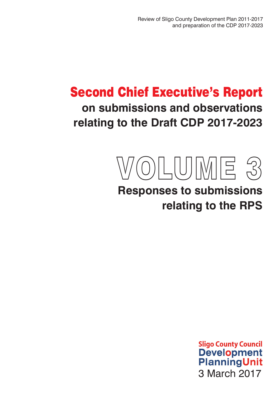Review of Sligo County Development Plan 2011-2017 and preparation of the CDP 2017-2023

# Second Chief Executive's Report **on submissions and observations**

**relating to the Draft CDP 2017-2023**



## **Responses to submissions relating to the RPS**

**Sligo County Council Development PlanningUnit** 3 March 2017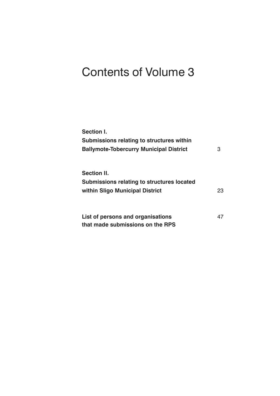## Contents of Volume 3

| Section I.                                        |    |  |  |
|---------------------------------------------------|----|--|--|
| Submissions relating to structures within         |    |  |  |
| <b>Ballymote-Tobercurry Municipal District</b>    |    |  |  |
|                                                   |    |  |  |
| Section II.                                       |    |  |  |
| <b>Submissions relating to structures located</b> |    |  |  |
| within Sligo Municipal District                   | 23 |  |  |
|                                                   |    |  |  |
| List of persons and organisations                 | 47 |  |  |
| that made submissions on the RPS                  |    |  |  |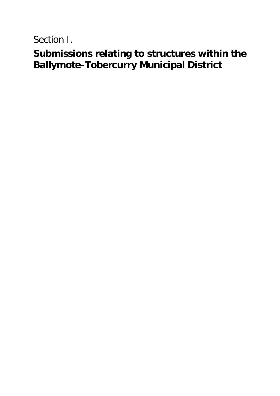Section I.

**Submissions relating to structures within the Ballymote-Tobercurry Municipal District**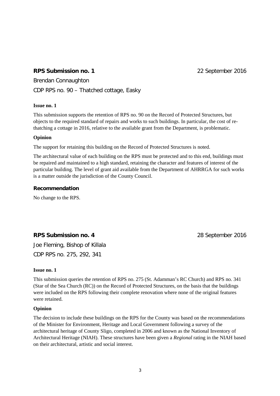### **RPS Submission no. 1** 22 September 2016

Brendan Connaughton

CDP RPS no. 90 – Thatched cottage, Easky

#### **Issue no. 1**

This submission supports the retention of RPS no. 90 on the Record of Protected Structures, but objects to the required standard of repairs and works to such buildings. In particular, the cost of rethatching a cottage in 2016, relative to the available grant from the Department, is problematic.

#### **Opinion**

The support for retaining this building on the Record of Protected Structures is noted.

The architectural value of each building on the RPS must be protected and to this end, buildings must be repaired and maintained to a high standard, retaining the character and features of interest of the particular building. The level of grant aid available from the Department of AHRRGA for such works is a matter outside the jurisdiction of the County Council.

#### **Recommendation**

No change to the RPS.

### **RPS Submission no. 4** 28 September 2016

Joe Fleming, Bishop of Killala CDP RPS no. 275, 292, 341

#### **Issue no. 1**

This submission queries the retention of RPS no. 275 (St. Adamman's RC Church) and RPS no. 341 (Star of the Sea Church (RC)) on the Record of Protected Structures, on the basis that the buildings were included on the RPS following their complete renovation where none of the original features were retained.

#### **Opinion**

The decision to include these buildings on the RPS for the County was based on the recommendations of the Minister for Environment, Heritage and Local Government following a survey of the architectural heritage of County Sligo, completed in 2006 and known as the National Inventory of Architectural Heritage (NIAH). These structures have been given a *Regional* rating in the NIAH based on their architectural, artistic and social interest.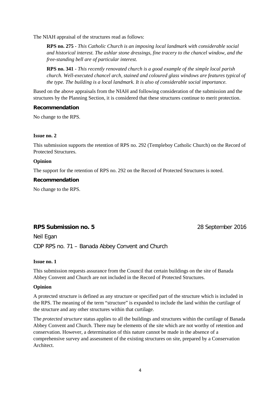The NIAH appraisal of the structures read as follows:

**RPS no. 275** - *This Catholic Church is an imposing local landmark with considerable social and historical interest. The ashlar stone dressings, fine tracery to the chancel window, and the free-standing bell are of particular interest.*

**RPS no. 341** - *This recently renovated church is a good example of the simple local parish church. Well-executed chancel arch, stained and coloured glass windows are features typical of the type. The building is a local landmark. It is also of considerable social importance.*

Based on the above appraisals from the NIAH and following consideration of the submission and the structures by the Planning Section, it is considered that these structures continue to merit protection.

#### **Recommendation**

No change to the RPS.

#### **Issue no. 2**

This submission supports the retention of RPS no. 292 (Templeboy Catholic Church) on the Record of Protected Structures.

#### **Opinion**

The support for the retention of RPS no. 292 on the Record of Protected Structures is noted.

#### **Recommendation**

No change to the RPS.

### **RPS Submission no. 5** 28 September 2016

Neil Egan CDP RPS no. 71 – Banada Abbey Convent and Church

#### **Issue no. 1**

This submission requests assurance from the Council that certain buildings on the site of Banada Abbey Convent and Church are not included in the Record of Protected Structures.

#### **Opinion**

A protected structure is defined as any structure or specified part of the structure which is included in the RPS. The meaning of the term "structure" is expanded to include the land within the curtilage of the structure and any other structures within that curtilage.

The *protected structure* status applies to all the buildings and structures within the curtilage of Banada Abbey Convent and Church. There may be elements of the site which are not worthy of retention and conservation. However, a determination of this nature cannot be made in the absence of a comprehensive survey and assessment of the existing structures on site, prepared by a Conservation Architect.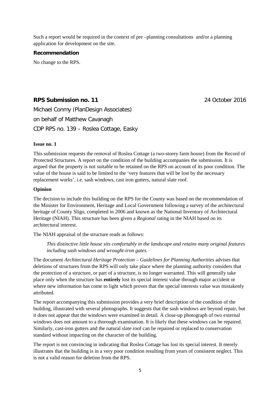Such a report would be required in the context of pre –planning consultations and/or a planning application for development on the site.

#### **Recommendation**

No change to the RPS.

### **RPS Submission no. 11** 24 October 2016

Michael Conmy (PlanDesign Associates) on behalf of Matthew Cavanagh CDP RPS no. 139 – Roslea Cottage, Easky

#### **Issue no. 1**

This submission requests the removal of Roslea Cottage (a two-storey farm house) from the Record of Protected Structures. A report on the condition of the building accompanies the submission. It is argued that the property is not suitable to be retained on the RPS on account of its poor condition. The value of the house is said to be limited to the 'very features that will be lost by the necessary replacement works', i.e. sash windows, cast iron gutters, natural slate roof.

#### **Opinion**

The decision to include this building on the RPS for the County was based on the recommendation of the Minister for Environment, Heritage and Local Government following a survey of the architectural heritage of County Sligo, completed in 2006 and known as the National Inventory of Architectural Heritage (NIAH). This structure has been given a *Regional* rating in the NIAH based on its architectural interest.

The NIAH appraisal of the structure reads as follows:

*This distinctive little house sits comfortably in the landscape and retains many original features including sash windows and wrought-iron gates.*

The document *Architectural Heritage Protection – Guidelines for Planning Authorities* advises that deletions of structures from the RPS will only take place where the planning authority considers that the protection of a structure, or part of a structure, is no longer warranted. This will generally take place only when the structure has **entirely** lost its special interest value through major accident or where new information has come to light which proves that the special interests value was mistakenly attributed.

The report accompanying this submission provides a very brief description of the condition of the building, illustrated with several photographs. It suggests that the sash windows are beyond repair, but it does not appear that the windows were examined in detail. A close-up photograph of two external windows does not amount to a thorough examination. It is likely that these windows can be repaired. Similarly, cast-iron gutters and the natural slate roof can be repaired or replaced to conservation standard without impacting on the character of the building.

The report is not convincing in indicating that Roslea Cottage has lost its special interest. It merely illustrates that the building is in a very poor condition resulting from years of consistent neglect. This is not a valid reason for deletion from the RPS.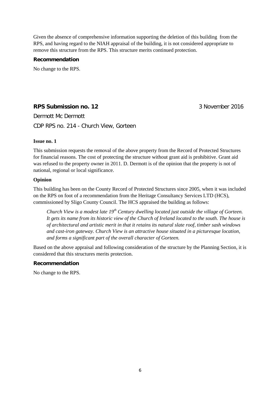Given the absence of comprehensive information supporting the deletion of this building from the RPS, and having regard to the NIAH appraisal of the building, it is not considered appropriate to remove this structure from the RPS. This structure merits continued protection.

#### **Recommendation**

No change to the RPS.

### **RPS Submission no. 12 3 November 2016**

Dermott Mc Dermott CDP RPS no. 214 - Church View, Gorteen

#### **Issue no. 1**

This submission requests the removal of the above property from the Record of Protected Structures for financial reasons. The cost of protecting the structure without grant aid is prohibitive. Grant aid was refused to the property owner in 2011. D. Dermott is of the opinion that the property is not of national, regional or local significance.

#### **Opinion**

This building has been on the County Record of Protected Structures since 2005, when it was included on the RPS on foot of a recommendation from the Heritage Consultancy Services LTD (HCS), commissioned by Sligo County Council. The HCS appraised the building as follows:

*Church View is a modest late 19th Century dwelling located just outside the village of Gorteen. It gets its name from its historic view of the Church of Ireland located to the south. The house is of architectural and artistic merit in that it retains its natural slate roof, timber sash windows and cast-iron gateway. Church View is an attractive house situated in a picturesque location, and forms a significant part of the overall character of Gorteen.*

Based on the above appraisal and following consideration of the structure by the Planning Section, it is considered that this structures merits protection.

#### **Recommendation**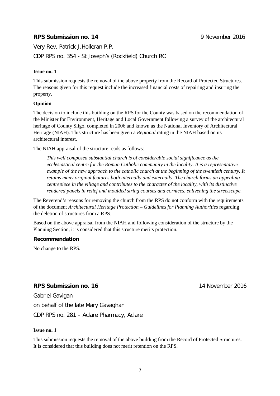### **RPS Submission no. 14 Participally 14 Participally 14 Participally 14 Participally 14 Participally 16 Participally 16 Participally 16 Participally 16 Participally 16 Participally 16 Participally 16**

Very Rev. Patrick J.Holleran P.P. CDP RPS no. 354 - St Joseph's (Rockfield) Church RC

### **Issue no. 1**

This submission requests the removal of the above property from the Record of Protected Structures. The reasons given for this request include the increased financial costs of repairing and insuring the property.

### **Opinion**

The decision to include this building on the RPS for the County was based on the recommendation of the Minister for Environment, Heritage and Local Government following a survey of the architectural heritage of County Sligo, completed in 2006 and known as the National Inventory of Architectural Heritage (NIAH). This structure has been given a *Regional* rating in the NIAH based on its architectural interest.

The NIAH appraisal of the structure reads as follows:

*This well composed substantial church is of considerable social significance as the ecclesiastical centre for the Roman Catholic community in the locality. It is a representative example of the new approach to the catholic church at the beginning of the twentieth century. It retains many original features both internally and externally. The church forms an appealing centrepiece in the village and contributes to the character of the locality, with its distinctive rendered panels in relief and moulded string courses and cornices, enlivening the streetscape.*

The Reverend's reasons for removing the church from the RPS do not conform with the requirements of the document *Architectural Heritage Protection – Guidelines for Planning Authorities* regarding the deletion of structures from a RPS.

Based on the above appraisal from the NIAH and following consideration of the structure by the Planning Section, it is considered that this structure merits protection.

### **Recommendation**

No change to the RPS.

### **RPS Submission no. 16** 14 November 2016

Gabriel Gavigan on behalf of the late Mary Gavaghan CDP RPS no. 281 – Aclare Pharmacy, Aclare

#### **Issue no. 1**

This submission requests the removal of the above building from the Record of Protected Structures. It is considered that this building does not merit retention on the RPS.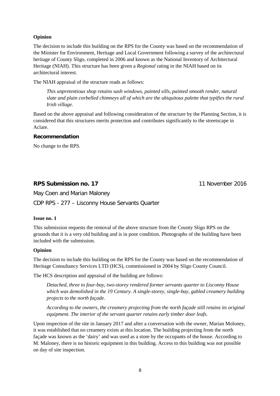#### **Opinion**

The decision to include this building on the RPS for the County was based on the recommendation of the Minister for Environment, Heritage and Local Government following a survey of the architectural heritage of County Sligo, completed in 2006 and known as the National Inventory of Architectural Heritage (NIAH). This structure has been given a *Regional* rating in the NIAH based on its architectural interest.

The NIAH appraisal of the structure reads as follows:

*This unpretentious shop retains sash windows, painted sills, painted smooth render, natural slate and plain corbelled chimneys all of which are the ubiquitous palette that typifies the rural Irish village.*

Based on the above appraisal and following consideration of the structure by the Planning Section, it is considered that this structures merits protection and contributes significantly to the streetscape in Aclare.

#### **Recommendation**

No change to the RPS.

### **RPS Submission no. 17 11 November 2016**

May Coen and Marian Maloney

CDP RPS - 277 – Lisconny House Servants Quarter

#### **Issue no. 1**

This submission requests the removal of the above structure from the County Sligo RPS on the grounds that it is a very old building and is in poor condition. Photographs of the building have been included with the submission.

#### **Opinion**

The decision to include this building on the RPS for the County was based on the recommendation of Heritage Consultancy Services LTD (HCS), commissioned in 2004 by Sligo County Council.

The HCS description and appraisal of the building are follows:

*Detached, three to four-bay, two-storey rendered former servants quarter to Lisconny House which was demolished in the 19 Century. A single-storey, single-bay, gabled creamery building projects to the north façade.*

*According to the owners, the creamery projecting from the north façade still retains its original equipment. The interior of the servant quarter retains early timber door leafs.*

Upon inspection of the site in January 2017 and after a conversation with the owner, Marian Moloney, it was established that no creamery exists at this location. The building projecting from the north façade was known as the 'dairy' and was used as a store by the occupants of the house. According to M. Maloney, there is no historic equipment in this building. Access to this building was not possible on day of site inspection.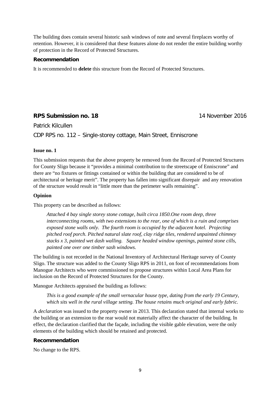The building does contain several historic sash windows of note and several fireplaces worthy of retention. However, it is considered that these features alone do not render the entire building worthy of protection in the Record of Protected Structures.

#### **Recommendation**

It is recommended to **delete** this structure from the Record of Protected Structures.

### **RPS Submission no. 18** 14 November 2016

Patrick Kilcullen

CDP RPS no. 112 – Single-storey cottage, Main Street, Enniscrone

#### **Issue no. 1**

This submission requests that the above property be removed from the Record of Protected Structures for County Sligo because it "provides a minimal contribution to the streetscape of Enniscrone" and there are "no fixtures or fittings contained or within the building that are considered to be of architectural or heritage merit". The property has fallen into significant disrepair and any renovation of the structure would result in "little more than the perimeter walls remaining".

#### **Opinion**

This property can be described as follows:

*Attached 4 bay single storey stone cottage, built circa 1850.One room deep, three interconnecting rooms, with two extensions to the rear, one of which is a ruin and comprises exposed stone walls only. The fourth room is occupied by the adjacent hotel. Projecting pitched roof porch. Pitched natural slate roof, clay ridge tiles, rendered unpainted chimney stacks x 3, painted wet dash walling. Square headed window openings, painted stone cills, painted one over one timber sash windows.* 

The building is not recorded in the National Inventory of Architectural Heritage survey of County Sligo. The structure was added to the County Sligo RPS in 2011, on foot of recommendations from Manogue Architects who were commissioned to propose structures within Local Area Plans for inclusion on the Record of Protected Structures for the County.

Manogue Architects appraised the building as follows:

*This is a good example of the small vernacular house type, dating from the early 19 Century, which sits well in the rural village setting. The house retains much original and early fabric.*

A *declaration* was issued to the property owner in 2013. This declaration stated that internal works to the building or an extension to the rear would not materially affect the character of the building. In effect, the declaration clarified that the façade, including the visible gable elevation, were the only elements of the building which should be retained and protected.

#### **Recommendation**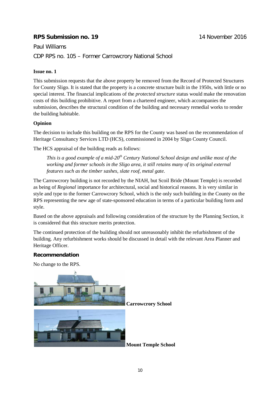### **RPS Submission no. 19** 14 November 2016

Paul Williams CDP RPS no. 105 – Former Carrowcrory National School

#### **Issue no. 1**

This submission requests that the above property be removed from the Record of Protected Structures for County Sligo. It is stated that the property is a concrete structure built in the 1950s, with little or no special interest. The financial implications of the *protected structure* status would make the renovation costs of this building prohibitive. A report from a chartered engineer, which accompanies the submission, describes the structural condition of the building and necessary remedial works to render the building habitable.

#### **Opinion**

The decision to include this building on the RPS for the County was based on the recommendation of Heritage Consultancy Services LTD (HCS), commissioned in 2004 by Sligo County Council.

The HCS appraisal of the building reads as follows:

*This is a good example of a mid-20th Century National School design and unlike most of the working and former schools in the Sligo area, it still retains many of its original external features such as the timber sashes, slate roof, metal gate.*

The Carrowcrory building is not recorded by the NIAH, but Scoil Bride (Mount Temple) is recorded as being of *Regional* importance for architectural, social and historical reasons. It is very similar in style and type to the former Carrowcrory School, which is the only such building in the County on the RPS representing the new age of state-sponsored education in terms of a particular building form and style.

Based on the above appraisals and following consideration of the structure by the Planning Section, it is considered that this structure merits protection.

The continued protection of the building should not unreasonably inhibit the refurbishment of the building. Any refurbishment works should be discussed in detail with the relevant Area Planner and Heritage Officer.

### **Recommendation**

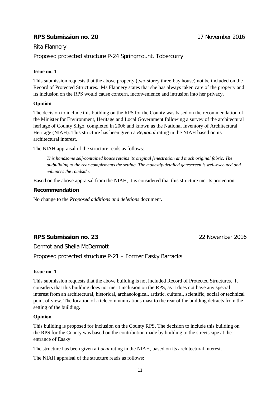### **RPS Submission no. 20** 17 November 2016

### Rita Flannery Proposed protected structure P-24 Springmount, Tobercurry

### **Issue no. 1**

This submission requests that the above property (two-storey three-bay house) not be included on the Record of Protected Structures. Ms Flannery states that she has always taken care of the property and its inclusion on the RPS would cause concern, inconvenience and intrusion into her privacy.

### **Opinion**

The decision to include this building on the RPS for the County was based on the recommendation of the Minister for Environment, Heritage and Local Government following a survey of the architectural heritage of County Sligo, completed in 2006 and known as the National Inventory of Architectural Heritage (NIAH). This structure has been given a *Regional* rating in the NIAH based on its architectural interest.

The NIAH appraisal of the structure reads as follows:

*This handsome self-contained house retains its original fenestration and much original fabric. The outbuilding to the rear complements the setting. The modestly-detailed gatescreen is well-executed and enhances the roadside.*

Based on the above appraisal from the NIAH, it is considered that this structure merits protection.

#### **Recommendation**

No change to the *Proposed additions and deletions* document.

### **RPS Submission no. 23** 22 November 2016

Dermot and Sheila McDermott

Proposed protected structure P-21 – Former Easky Barracks

#### **Issue no. 1**

This submission requests that the above building is not included Record of Protected Structures. It considers that this building does not merit inclusion on the RPS, as it does not have any special interest from an architectural, historical, archaeological, artistic, cultural, scientific, social or technical point of view. The location of a telecommunications mast to the rear of the building detracts from the setting of the building.

#### **Opinion**

This building is proposed for inclusion on the County RPS. The decision to include this building on the RPS for the County was based on the contribution made by building to the streetscape at the entrance of Easky.

The structure has been given a *Local* rating in the NIAH, based on its architectural interest.

The NIAH appraisal of the structure reads as follows: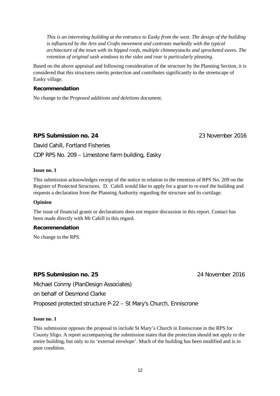*This is an interesting building at the entrance to Easky from the west. The design of the building is influenced by the Arts and Crafts movement and contrasts markedly with the typical architecture of the town with its hipped roofs, multiple chimneystacks and sprocketed eaves. The retention of original sash windows to the sides and rear is particularly pleasing.*

Based on the above appraisal and following consideration of the structure by the Planning Section, it is considered that this structures merits protection and contributes significantly to the streetscape of Easky village.

#### **Recommendation**

No change to the *Proposed additions and deletions* document.

### **RPS Submission no. 24** 23 November 2016

David Cahill, Fortland Fisheries CDP RPS No. 209 – Limestone farm building, Easky

#### **Issue no. 1**

This submission acknowledges receipt of the notice in relation to the retention of RPS No. 209 on the Register of Protected Structures. D. Cahill would like to apply for a grant to re-roof the building and requests a declaration from the Planning Authority regarding the structure and its curtilage.

#### **Opinion**

The issue of financial grants or declarations does not require discussion in this report. Contact has been made directly with Mr Cahill in this regard.

#### **Recommendation**

No change to the RPS.

### **RPS Submission no. 25** 24 November 2016

Michael Conmy (PlanDesign Associates)

on behalf of Desmond Clarke

Proposed protected structure P-22 – St Mary's Church, Enniscrone

#### **Issue no. 1**

This submission opposes the proposal to include St Mary's Church in Enniscrone in the RPS for County Sligo. A report accompanying the submission states that the protection should not apply to the entire building, but only to its 'external envelope'. Much of the building has been modified and is in poor condition.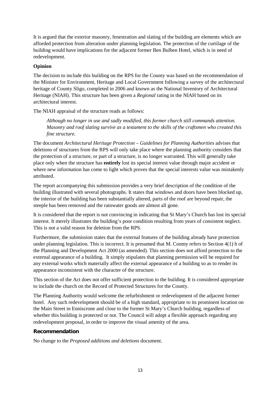It is argued that the exterior masonry, fenestration and slating of the building are elements which are afforded protection from alteration under planning legislation. The protection of the curtilage of the building would have implications for the adjacent former Ben Bulben Hotel, which is in need of redevelopment.

#### **Opinion**

The decision to include this building on the RPS for the County was based on the recommendation of the Minister for Environment, Heritage and Local Government following a survey of the architectural heritage of County Sligo, completed in 2006 and known as the National Inventory of Architectural Heritage (NIAH). This structure has been given a *Regional* rating in the NIAH based on its architectural interest.

The NIAH appraisal of the structure reads as follows:

*Although no longer in use and sadly modified, this former church still commands attention. Masonry and roof slating survive as a testament to the skills of the craftsmen who created this fine structure.*

The document *Architectural Heritage Protection – Guidelines for Planning Authorities* advises that deletions of structures from the RPS will only take place where the planning authority considers that the protection of a structure, or part of a structure, is no longer warranted. This will generally take place only when the structure has **entirely** lost its special interest value through major accident or where new information has come to light which proves that the special interests value was mistakenly attributed.

The report accompanying this submission provides a very brief description of the condition of the building illustrated with several photographs. It states that windows and doors have been blocked up, the interior of the building has been substantially altered, parts of the roof are beyond repair, the steeple has been removed and the rainwater goods are almost all gone.

It is considered that the report is not convincing in indicating that St Mary's Church has lost its special interest. It merely illustrates the building's poor condition resulting from years of consistent neglect. This is not a valid reason for deletion from the RPS.

Furthermore, the submission states that the external features of the building already have protection under planning legislation. This is incorrect. It is presumed that M. Conmy refers to Section 4(1) h of the Planning and Development Act 2000 (as amended). This section does not afford protection to the external appearance of a building. It simply stipulates that planning permission will be required for any external works which materially affect the external appearance of a building so as to render its appearance inconsistent with the character of the structure.

This section of the Act does not offer sufficient protection to the building. It is considered appropriate to include the church on the Record of Protected Structures for the County.

The Planning Authority would welcome the refurbishment or redevelopment of the adjacent former hotel. Any such redevelopment should be of a high standard, appropriate to its prominent location on the Main Street in Enniscrone and close to the former St Mary's Church building, regardless of whether this building is protected or not. The Council will adopt a flexible approach regarding any redevelopment proposal, in order to improve the visual amenity of the area.

#### **Recommendation**

No change to the *Proposed additions and deletions* document.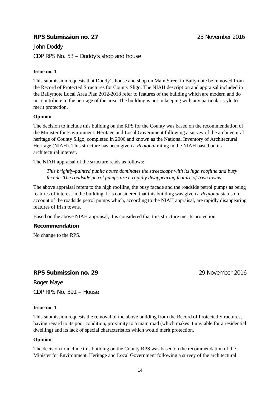### **RPS Submission no. 27** 25 November 2016

John Doddy CDP RPS No. 53 – Doddy's shop and house

### **Issue no. 1**

This submission requests that Doddy's house and shop on Main Street in Ballymote be removed from the Record of Protected Structures for County Sligo. The NIAH description and appraisal included in the Ballymote Local Area Plan 2012-2018 refer to features of the building which are modern and do not contribute to the heritage of the area. The building is not in keeping with any particular style to merit protection.

### **Opinion**

The decision to include this building on the RPS for the County was based on the recommendation of the Minister for Environment, Heritage and Local Government following a survey of the architectural heritage of County Sligo, completed in 2006 and known as the National Inventory of Architectural Heritage (NIAH). This structure has been given a *Regional* rating in the NIAH based on its architectural interest.

The NIAH appraisal of the structure reads as follows:

*This brightly-painted public house dominates the streetscape with its high roofline and busy facade. The roadside petrol pumps are a rapidly disappearing feature of Irish towns.* 

The above appraisal refers to the high roofline, the busy façade and the roadside petrol pumps as being features of interest in the building. It is considered that this building was given a *Regional* status on account of the roadside petrol pumps which, according to the NIAH appraisal, are rapidly disappearing features of Irish towns.

Based on the above NIAH appraisal, it is considered that this structure merits protection.

### **Recommendation**

No change to the RPS.

### **RPS Submission no. 29** 29 November 2016

Roger Maye CDP RPS No. 391 – House

#### **Issue no. 1**

This submission requests the removal of the above building from the Record of Protected Structures, having regard to its poor condition, proximity to a main road (which makes it unviable for a residential dwelling) and its lack of special characteristics which would merit protection.

#### **Opinion**

The decision to include this building on the County RPS was based on the recommendation of the Minister for Environment, Heritage and Local Government following a survey of the architectural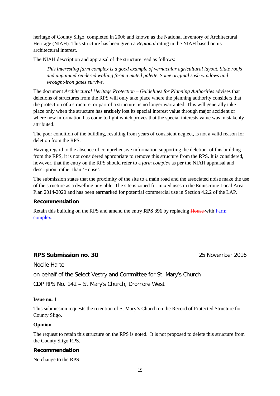heritage of County Sligo, completed in 2006 and known as the National Inventory of Architectural Heritage (NIAH). This structure has been given a *Regional* rating in the NIAH based on its architectural interest.

The NIAH description and appraisal of the structure read as follows:

*This interesting farm complex is a good example of vernacular agricultural layout. Slate roofs and unpainted rendered walling form a muted palette. Some original sash windows and wrought-iron gates survive.*

The document *Architectural Heritage Protection – Guidelines for Planning Authorities* advises that deletions of structures from the RPS will only take place where the planning authority considers that the protection of a structure, or part of a structure, is no longer warranted. This will generally take place only when the structure has **entirely** lost its special interest value through major accident or where new information has come to light which proves that the special interests value was mistakenly attributed.

The poor condition of the building, resulting from years of consistent neglect, is not a valid reason for deletion from the RPS.

Having regard to the absence of comprehensive information supporting the deletion of this building from the RPS, it is not considered appropriate to remove this structure from the RPS. It is considered, however, that the entry on the RPS should refer to a *farm complex* as per the NIAH appraisal and description, rather than 'House'.

The submission states that the proximity of the site to a main road and the associated noise make the use of the structure as a dwelling unviable. The site is zoned for mixed uses in the Enniscrone Local Area Plan 2014-2020 and has been earmarked for potential commercial use in Section 4.2.2 of the LAP.

#### **Recommendation**

Retain this building on the RPS and amend the entry **RPS 391** by replacing House with Farm complex.

### **RPS Submission no. 30** 25 November 2016

Noelle Harte

on behalf of the Select Vestry and Committee for St. Mary's Church

CDP RPS No. 142 – St Mary's Church, Dromore West

#### **Issue no. 1**

This submission requests the retention of St Mary's Church on the Record of Protected Structure for County Sligo.

#### **Opinion**

The request to retain this structure on the RPS is noted. It is not proposed to delete this structure from the County Sligo RPS.

#### **Recommendation**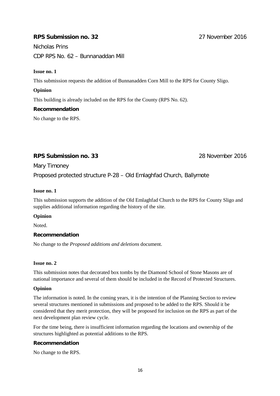### **RPS Submission no. 32** 27 November 2016

Nicholas Prins CDP RPS No. 62 – Bunnanaddan Mill

#### **Issue no. 1**

This submission requests the addition of Bunnanadden Corn Mill to the RPS for County Sligo.

#### **Opinion**

This building is already included on the RPS for the County (RPS No. 62).

#### **Recommendation**

No change to the RPS.

### **RPS Submission no. 33** 28 November 2016

Mary Timoney

Proposed protected structure P-28 – Old Emlaghfad Church, Ballymote

#### **Issue no. 1**

This submission supports the addition of the Old Emlaghfad Church to the RPS for County Sligo and supplies additional information regarding the history of the site.

#### **Opinion**

Noted.

#### **Recommendation**

No change to the *Proposed additions and deletions* document.

#### **Issue no. 2**

This submission notes that decorated box tombs by the Diamond School of Stone Masons are of national importance and several of them should be included in the Record of Protected Structures.

#### **Opinion**

The information is noted. In the coming years, it is the intention of the Planning Section to review several structures mentioned in submissions and proposed to be added to the RPS. Should it be considered that they merit protection, they will be proposed for inclusion on the RPS as part of the next development plan review cycle.

For the time being, there is insufficient information regarding the locations and ownership of the structures highlighted as potential additions to the RPS.

#### **Recommendation**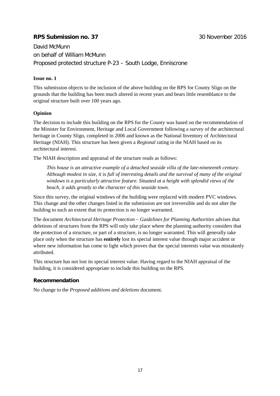### **RPS Submission no. 37 30 November 2016**

David McMunn on behalf of William McMunn Proposed protected structure P-23 – South Lodge, Enniscrone

#### **Issue no. 1**

This submission objects to the inclusion of the above building on the RPS for County Sligo on the grounds that the building has been much altered in recent years and bears little resemblance to the original structure built over 100 years ago.

#### **Opinion**

The decision to include this building on the RPS for the County was based on the recommendation of the Minister for Environment, Heritage and Local Government following a survey of the architectural heritage in County Sligo, completed in 2006 and known as the National Inventory of Architectural Heritage (NIAH). This structure has been given a *Regional* rating in the NIAH based on its architectural interest.

The NIAH description and appraisal of the structure reads as follows:

*This house is an attractive example of a detached seaside villa of the late-nineteenth century. Although modest in size, it is full of interesting details and the survival of many of the original windows is a particularly attractive feature. Situated at a height with splendid views of the beach, it adds greatly to the character of this seaside town.*

Since this survey, the original windows of the building were replaced with modern PVC windows. This change and the other changes listed in the submission are not irreversible and do not alter the building to such an extent that its protection is no longer warranted.

The document *Architectural Heritage Protection – Guidelines for Planning Authorities* advises that deletions of structures from the RPS will only take place where the planning authority considers that the protection of a structure, or part of a structure, is no longer warranted. This will generally take place only when the structure has **entirely** lost its special interest value through major accident or where new information has come to light which proves that the special interests value was mistakenly attributed.

This structure has not lost its special interest value. Having regard to the NIAH appraisal of the building, it is considered appropriate to include this building on the RPS.

### **Recommendation**

No change to the *Proposed additions and deletions* document.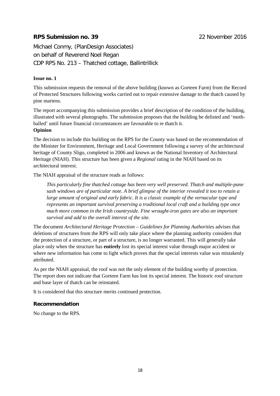### **RPS Submission no. 39** 22 November 2016

Michael Conmy, (PlanDesign Associates) on behalf of Reverend Noel Regan CDP RPS No. 213 – Thatched cottage, Ballintrillick

#### **Issue no. 1**

This submission requests the removal of the above building (known as Gorteen Farm) from the Record of Protected Structures following works carried out to repair extensive damage to the thatch caused by pine martens.

The report accompanying this submission provides a brief description of the condition of the building, illustrated with several photographs. The submission proposes that the building be delisted and 'mothballed' until future financial circumstances are favourable to re thatch it.

#### **Opinion**

The decision to include this building on the RPS for the County was based on the recommendation of the Minister for Environment, Heritage and Local Government following a survey of the architectural heritage of County Sligo, completed in 2006 and known as the National Inventory of Architectural Heritage (NIAH). This structure has been given a *Regional* rating in the NIAH based on its architectural interest.

The NIAH appraisal of the structure reads as follows:

*This particularly fine thatched cottage has been very well preserved. Thatch and multiple-pane sash windows are of particular note. A brief glimpse of the interior revealed it too to retain a large amount of original and early fabric. It is a classic example of the vernacular type and represents an important survival preserving a traditional local craft and a building type once much more common in the Irish countryside. Fine wrought-iron gates are also an important survival and add to the overall interest of the site.* 

The document *Architectural Heritage Protection – Guidelines for Planning Authorities* advises that deletions of structures from the RPS will only take place where the planning authority considers that the protection of a structure, or part of a structure, is no longer warranted. This will generally take place only when the structure has **entirely** lost its special interest value through major accident or where new information has come to light which proves that the special interests value was mistakenly attributed.

As per the NIAH appraisal, the roof was not the only element of the building worthy of protection. The report does not indicate that Gorteen Farm has lost its special interest. The historic roof structure and base layer of thatch can be reinstated.

It is considered that this structure merits continued protection.

#### **Recommendation**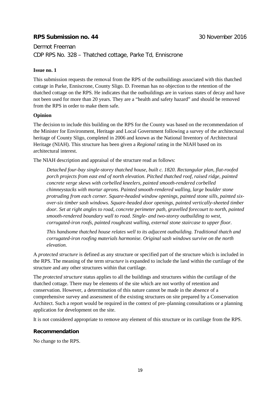### **RPS Submission no. 44 30 November 2016**

Dermot Freeman CDP RPS No. 328 – Thatched cottage, Parke Td, Enniscrone

#### **Issue no. 1**

This submission requests the removal from the RPS of the outbuildings associated with this thatched cottage in Parke, Enniscrone, County Sligo. D. Freeman has no objection to the retention of the thatched cottage on the RPS. He indicates that the outbuildings are in various states of decay and have not been used for more than 20 years. They are a "health and safety hazard" and should be removed from the RPS in order to make them safe.

#### **Opinion**

The decision to include this building on the RPS for the County was based on the recommendation of the Minister for Environment, Heritage and Local Government following a survey of the architectural heritage of County Sligo, completed in 2006 and known as the National Inventory of Architectural Heritage (NIAH). This structure has been given a *Regional* rating in the NIAH based on its architectural interest.

The NIAH description and appraisal of the structure read as follows:

*Detached four-bay single-storey thatched house, built c. 1820. Rectangular plan, flat-roofed porch projects from east end of north elevation. Pitched thatched roof, raised ridge, painted concrete verge skews with corbelled kneelers, painted smooth-rendered corbelled chimneystacks with mortar aprons. Painted smooth-rendered walling, large boulder stone protruding from each corner. Square-headed window openings, painted stone sills, painted sixover-six timber sash windows. Square-headed door openings, painted vertically-sheeted timber door. Set at right angles to road, concrete perimeter path, gravelled forecourt to north, painted smooth-rendered boundary wall to road. Single- and two-storey outbuilding to west, corrugated-iron roofs, painted roughcast walling, external stone staircase to upper floor.*

*This handsome thatched house relates well to its adjacent outbuilding. Traditional thatch and corrugated-iron roofing materials harmonise. Original sash windows survive on the north elevation.*

A *protected structure* is defined as any structure or specified part of the structure which is included in the RPS. The meaning of the term *structure* is expanded to include the land within the curtilage of the structure and any other structures within that curtilage.

The *protected structure* status applies to all the buildings and structures within the curtilage of the thatched cottage. There may be elements of the site which are not worthy of retention and conservation. However, a determination of this nature cannot be made in the absence of a comprehensive survey and assessment of the existing structures on site prepared by a Conservation Architect. Such a report would be required in the context of pre–planning consultations or a planning application for development on the site.

It is not considered appropriate to remove any element of this structure or its curtilage from the RPS.

#### **Recommendation**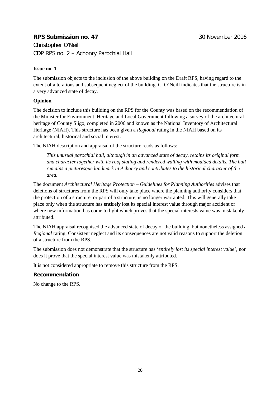### **RPS Submission no. 47 30 November 2016**

Christopher O'Neill CDP RPS no. 2 – Achonry Parochial Hall

#### **Issue no. 1**

The submission objects to the inclusion of the above building on the Draft RPS, having regard to the extent of alterations and subsequent neglect of the building. C. O'Neill indicates that the structure is in a very advanced state of decay.

### **Opinion**

The decision to include this building on the RPS for the County was based on the recommendation of the Minister for Environment, Heritage and Local Government following a survey of the architectural heritage of County Sligo, completed in 2006 and known as the National Inventory of Architectural Heritage (NIAH). This structure has been given a *Regional* rating in the NIAH based on its architectural, historical and social interest.

The NIAH description and appraisal of the structure reads as follows:

*This unusual parochial hall, although in an advanced state of decay, retains its original form and character together with its roof slating and rendered walling with moulded details. The hall remains a picturesque landmark in Achonry and contributes to the historical character of the area.*

The document *Architectural Heritage Protection – Guidelines for Planning Authorities* advises that deletions of structures from the RPS will only take place where the planning authority considers that the protection of a structure, or part of a structure, is no longer warranted. This will generally take place only when the structure has **entirely** lost its special interest value through major accident or where new information has come to light which proves that the special interests value was mistakenly attributed.

The NIAH appraisal recognised the advanced state of decay of the building, but nonetheless assigned a *Regional* rating. Consistent neglect and its consequences are not valid reasons to support the deletion of a structure from the RPS.

The submission does not demonstrate that the structure has '*entirely lost its special interest value*', nor does it prove that the special interest value was mistakenly attributed.

It is not considered appropriate to remove this structure from the RPS.

#### **Recommendation**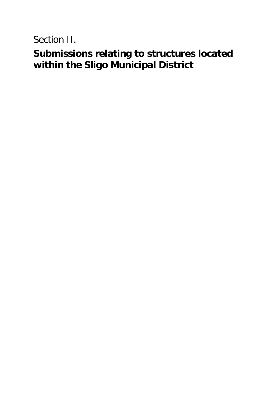Section II.

**Submissions relating to structures located within the Sligo Municipal District**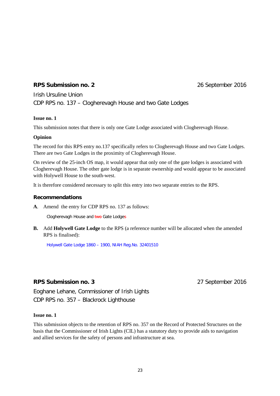### **RPS Submission no. 2** 26 September 2016

Irish Ursuline Union CDP RPS no. 137 – Clogherevagh House and two Gate Lodges

#### **Issue no. 1**

This submission notes that there is only one Gate Lodge associated with Clogherevagh House.

#### **Opinion**

The record for this RPS entry no.137 specifically refers to Clogherevagh House and two Gate Lodges. There are two Gate Lodges in the proximity of Clogherevagh House.

On review of the 25-inch OS map, it would appear that only one of the gate lodges is associated with Clogherevagh House. The other gate lodge is in separate ownership and would appear to be associated with Holywell House to the south-west.

It is therefore considered necessary to split this entry into two separate entries to the RPS.

#### **Recommendations**

**A**. Amend the entry for CDP RPS no. 137 as follows:

Clogherevagh House and **two** Gate Lodges

**B.** Add **Holywell Gate Lodge** to the RPS (a reference number will be allocated when the amended RPS is finalised):

Holywell Gate Lodge 1860 – 1900, NIAH Reg.No. 32401510

### **RPS Submission no. 3** 27 September 2016

Eoghane Lehane, Commissioner of Irish Lights CDP RPS no. 357 – Blackrock Lighthouse

#### **Issue no. 1**

This submission objects to the retention of RPS no. 357 on the Record of Protected Structures on the basis that the Commissioner of Irish Lights (CIL) has a statutory duty to provide aids to navigation and allied services for the safety of persons and infrastructure at sea.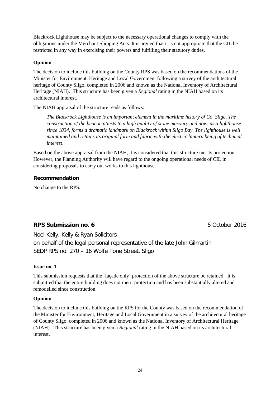Blackrock Lighthouse may be subject to the necessary operational changes to comply with the obligations under the Merchant Shipping Acts. It is argued that it is not appropriate that the CIL be restricted in any way in exercising their powers and fulfilling their statutory duties.

#### **Opinion**

The decision to include this building on the County RPS was based on the recommendations of the Minister for Environment, Heritage and Local Government following a survey of the architectural heritage of County Sligo, completed in 2006 and known as the National Inventory of Architectural Heritage (NIAH). This structure has been given a *Regional* rating in the NIAH based on its architectural interest.

The NIAH appraisal of the structure reads as follows:

*The Blackrock Lighthouse is an important element in the maritime history of Co. Sligo. The construction of the beacon attests to a high quality of stone masonry and now, as a lighthouse since 1834, forms a dramatic landmark on Blackrock within Sligo Bay. The lighthouse is well maintained and retains its original form and fabric with the electric lantern being of technical interest*.

Based on the above appraisal from the NIAH, it is considered that this structure merits protection. However, the Planning Authority will have regard to the ongoing operational needs of CIL in considering proposals to carry out works to this lighthouse.

#### **Recommendation**

No change to the RPS.

### **RPS Submission no. 6** 5 October 2016

Noel Kelly, Kelly & Ryan Solicitors on behalf of the legal personal representative of the late John Gilmartin

SEDP RPS no. 270 – 16 Wolfe Tone Street, Sligo

#### **Issue no. 1**

This submission requests that the 'façade only' protection of the above structure be retained. It is submitted that the entire building does not merit protection and has been substantially altered and remodelled since construction.

#### **Opinion**

The decision to include this building on the RPS for the County was based on the recommendation of the Minister for Environment, Heritage and Local Government in a survey of the architectural heritage of County Sligo, completed in 2006 and known as the National Inventory of Architectural Heritage (NIAH). This structure has been given a *Regional* rating in the NIAH based on its architectural interest.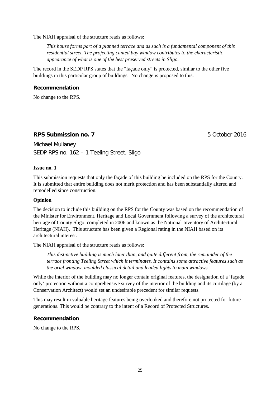The NIAH appraisal of the structure reads as follows:

*This house forms part of a planned terrace and as such is a fundamental component of this residential street. The projecting canted bay window contributes to the characteristic appearance of what is one of the best preserved streets in Sligo.*

The record in the SEDP RPS states that the "façade only" is protected, similar to the other five buildings in this particular group of buildings. No change is proposed to this.

#### **Recommendation**

No change to the RPS.

#### **RPS Submission no. 7** 5 October 2016

Michael Mullaney SEDP RPS no. 162 – 1 Teeling Street, Sligo

#### **Issue no. 1**

This submission requests that only the façade of this building be included on the RPS for the County. It is submitted that entire building does not merit protection and has been substantially altered and remodelled since construction.

#### **Opinion**

The decision to include this building on the RPS for the County was based on the recommendation of the Minister for Environment, Heritage and Local Government following a survey of the architectural heritage of County Sligo, completed in 2006 and known as the National Inventory of Architectural Heritage (NIAH). This structure has been given a Regional rating in the NIAH based on its architectural interest.

The NIAH appraisal of the structure reads as follows:

*This distinctive building is much later than, and quite different from, the remainder of the terrace fronting Teeling Street which it terminates. It contains some attractive features such as the oriel window, moulded classical detail and leaded lights to main windows.*

While the interior of the building may no longer contain original features, the designation of a 'facade' only' protection without a comprehensive survey of the interior of the building and its curtilage (by a Conservation Architect) would set an undesirable precedent for similar requests.

This may result in valuable heritage features being overlooked and therefore not protected for future generations. This would be contrary to the intent of a Record of Protected Structures.

#### **Recommendation**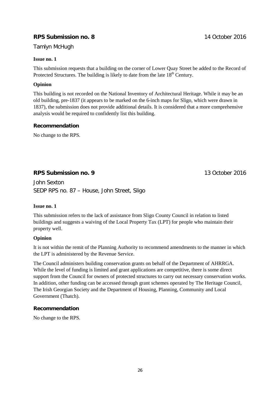### **RPS Submission no. 8** 14 October 2016

Tamlyn McHugh

#### **Issue no. 1**

This submission requests that a building on the corner of Lower Quay Street be added to the Record of Protected Structures. The building is likely to date from the late  $18<sup>th</sup>$  Century.

### **Opinion**

This building is not recorded on the National Inventory of Architectural Heritage. While it may be an old building, pre-1837 (it appears to be marked on the 6-inch maps for Sligo, which were drawn in 1837), the submission does not provide additional details. It is considered that a more comprehensive analysis would be required to confidently list this building.

#### **Recommendation**

No change to the RPS.

### **RPS Submission no. 9** 13 October 2016

John Sexton SEDP RPS no. 87 – House, John Street, Sligo

#### **Issue no. 1**

This submission refers to the lack of assistance from Sligo County Council in relation to listed buildings and suggests a waiving of the Local Property Tax (LPT) for people who maintain their property well.

#### **Opinion**

It is not within the remit of the Planning Authority to recommend amendments to the manner in which the LPT is administered by the Revenue Service.

The Council administers building conservation grants on behalf of the Department of AHRRGA. While the level of funding is limited and grant applications are competitive, there is some direct support from the Council for owners of protected structures to carry out necessary conservation works. In addition, other funding can be accessed through grant schemes operated by The Heritage Council, The Irish Georgian Society and the Department of Housing, Planning, Community and Local Government (Thatch).

#### **Recommendation**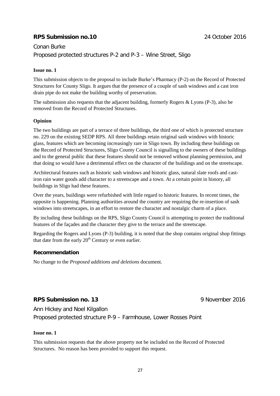### **RPS Submission no.10** 24 October 2016

### Conan Burke Proposed protected structures P-2 and P-3 – Wine Street, Sligo

#### **Issue no. 1**

This submission objects to the proposal to include Burke's Pharmacy (P-2) on the Record of Protected Structures for County Sligo. It argues that the presence of a couple of sash windows and a cast iron drain pipe do not make the building worthy of preservation.

The submission also requests that the adjacent building, formerly Rogers & Lyons (P-3), also be removed from the Record of Protected Structures.

#### **Opinion**

The two buildings are part of a terrace of three buildings, the third one of which is protected structure no. 229 on the existing SEDP RPS. All three buildings retain original sash windows with historic glass, features which are becoming increasingly rare in Sligo town. By including these buildings on the Record of Protected Structures, Sligo County Council is signalling to the owners of these buildings and to the general public that these features should not be removed without planning permission, and that doing so would have a detrimental effect on the character of the buildings and on the streetscape.

Architectural features such as historic sash windows and historic glass, natural slate roofs and castiron rain water goods add character to a streetscape and a town. At a certain point in history, all buildings in Sligo had these features.

Over the years, buildings were refurbished with little regard to historic features. In recent times, the opposite is happening. Planning authorities around the country are requiring the re-insertion of sash windows into streetscapes, in an effort to restore the character and nostalgic charm of a place.

By including these buildings on the RPS, Sligo County Council is attempting to protect the traditional features of the façades and the character they give to the terrace and the streetscape.

Regarding the Rogers and Lyons (P-3) building, it is noted that the shop contains original shop fittings that date from the early  $20<sup>th</sup>$  Century or even earlier.

#### **Recommendation**

No change to the *Proposed additions and deletions* document.

### **RPS Submission no. 13** 9 November 2016

Ann Hickey and Noel Kilgallon Proposed protected structure P-9 – Farmhouse, Lower Rosses Point

#### **Issue no. 1**

This submission requests that the above property not be included on the Record of Protected Structures. No reason has been provided to support this request.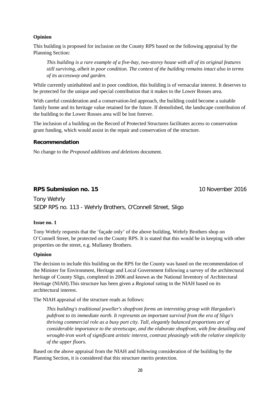#### **Opinion**

This building is proposed for inclusion on the County RPS based on the following appraisal by the Planning Section:

*This building is a rare example of a five-bay, two-storey house with all of its original features still surviving, albeit in poor condition. The context of the building remains intact also in terms of its accessway and garden.*

While currently uninhabited and in poor condition, this building is of vernacular interest. It deserves to be protected for the unique and special contribution that it makes to the Lower Rosses area.

With careful consideration and a conservation-led approach, the building could become a suitable family home and its heritage value retained for the future. If demolished, the landscape contribution of the building to the Lower Rosses area will be lost forever.

The inclusion of a building on the Record of Protected Structures facilitates access to conservation grant funding, which would assist in the repair and conservation of the structure.

#### **Recommendation**

No change to the *Proposed additions and deletions* document.

#### **RPS Submission no. 15** 10 November 2016

Tony Wehrly SEDP RPS no. 113 - Wehrly Brothers, O'Connell Street, Sligo

#### **Issue no. 1**

Tony Wehrly requests that the 'façade only' of the above building, Wehrly Brothers shop on O'Connell Street, be protected on the County RPS. It is stated that this would be in keeping with other properties on the street, e.g. Mullaney Brothers.

#### **Opinion**

The decision to include this building on the RPS for the County was based on the recommendation of the Minister for Environment, Heritage and Local Government following a survey of the architectural heritage of County Sligo, completed in 2006 and known as the National Inventory of Architectural Heritage (NIAH).This structure has been given a *Regional* rating in the NIAH based on its architectural interest.

The NIAH appraisal of the structure reads as follows:

*This building's traditional jeweller's shopfront forms an interesting group with Hargadon's pubfront to its immediate north. It represents an important survival from the era of Sligo's thriving commercial role as a busy port city. Tall, elegantly balanced proportions are of considerable importance to the streetscape, and the elaborate shopfront, with fine detailing and wrought-iron work of significant artistic interest, contrast pleasingly with the relative simplicity of the upper floors.*

Based on the above appraisal from the NIAH and following consideration of the building by the Planning Section, it is considered that this structure merits protection.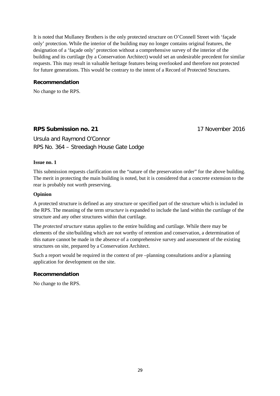It is noted that Mullaney Brothers is the only protected structure on O'Connell Street with 'façade only' protection. While the interior of the building may no longer contains original features, the designation of a 'façade only' protection without a comprehensive survey of the interior of the building and its curtilage (by a Conservation Architect) would set an undesirable precedent for similar requests. This may result in valuable heritage features being overlooked and therefore not protected for future generations. This would be contrary to the intent of a Record of Protected Structures.

#### **Recommendation**

No change to the RPS.

### **RPS Submission no. 21 17 November 2016**

Ursula and Raymond O'Connor RPS No. 364 – Streedagh House Gate Lodge

#### **Issue no. 1**

This submission requests clarification on the "nature of the preservation order" for the above building. The merit in protecting the main building is noted, but it is considered that a concrete extension to the rear is probably not worth preserving.

#### **Opinion**

A protected structure is defined as any structure or specified part of the structure which is included in the RPS. The meaning of the term *structure* is expanded to include the land within the curtilage of the structure and any other structures within that curtilage.

The *protected structure* status applies to the entire building and curtilage. While there may be elements of the site/building which are not worthy of retention and conservation, a determination of this nature cannot be made in the absence of a comprehensive survey and assessment of the existing structures on site, prepared by a Conservation Architect.

Such a report would be required in the context of pre –planning consultations and/or a planning application for development on the site.

#### **Recommendation**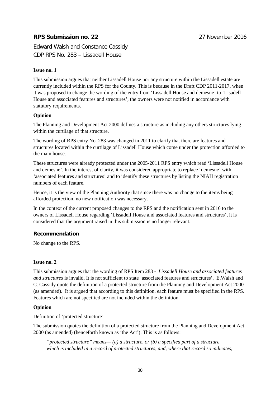### **RPS Submission no. 22** 27 November 2016

Edward Walsh and Constance Cassidy CDP RPS No. 283 – Lissadell House

#### **Issue no. 1**

This submission argues that neither Lissadell House nor any structure within the Lissadell estate are currently included within the RPS for the County. This is because in the Draft CDP 2011-2017, when it was proposed to change the wording of the entry from 'Lissadell House and demesne' to 'Lisadell House and associated features and structures', the owners were not notified in accordance with statutory requirements.

#### **Opinion**

The Planning and Development Act 2000 defines a structure as including any others structures lying within the curtilage of that structure.

The wording of RPS entry No. 283 was changed in 2011 to clarify that there are features and structures located within the curtilage of Lissadell House which come under the protection afforded to the main house.

These structures were already protected under the 2005-2011 RPS entry which read 'Lissadell House and demesne'. In the interest of clarity, it was considered appropriate to replace 'demesne' with 'associated features and structures' and to identify these structures by listing the NIAH registration numbers of each feature.

Hence, it is the view of the Planning Authority that since there was no change to the items being afforded protection, no new notification was necessary.

In the context of the current proposed changes to the RPS and the notification sent in 2016 to the owners of Lissadell House regarding 'Lissadell House and associated features and structures', it is considered that the argument raised in this submission is no longer relevant.

#### **Recommendation**

No change to the RPS.

#### **Issue no. 2**

This submission argues that the wording of RPS Item 283 - *Lissadell House and associated features and structures* is invalid. It is not sufficient to state 'associated features and structures'. E.Walsh and C. Cassidy quote the definition of a protected structure from the Planning and Development Act 2000 (as amended). It is argued that according to this definition, each feature must be specified in the RPS. Features which are not specified are not included within the definition.

#### **Opinion**

#### Definition of 'protected structure'

The submission quotes the definition of a protected structure from the Planning and Development Act 2000 (as amended) (henceforth known as 'the Act'). This is as follows:

*"protected structure" means— (a) a structure, or (b) a specified part of a structure, which is included in a record of protected structures, and, where that record so indicates,*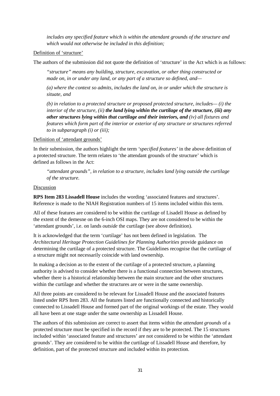*includes any specified feature which is within the attendant grounds of the structure and which would not otherwise be included in this definition;*

#### Definition of 'structure'

The authors of the submission did not quote the definition of 'structure' in the Act which is as follows:

*"structure" means any building, structure, excavation, or other thing constructed or made on, in or under any land, or any part of a structure so defined, and—*

*(a) where the context so admits, includes the land on, in or under which the structure is situate, and* 

*(b) in relation to a protected structure or proposed protected structure, includes— (i) the interior of the structure, (ii) the land lying within the curtilage of the structure, (iii) any other structures lying within that curtilage and their interiors, and (iv) all fixtures and features which form part of the interior or exterior of any structure or structures referred to in subparagraph (i) or (iii);* 

#### Definition of 'attendant grounds'

In their submission, the authors highlight the term *'specified features'* in the above definition of a protected structure. The term relates to 'the attendant grounds of the structure' which is defined as follows in the Act:

*"attendant grounds", in relation to a structure, includes land lying outside the curtilage of the structure.*

#### Discussion

**RPS Item 283 Lissadell House** includes the wording 'associated features and structures'. Reference is made to the NIAH Registration numbers of 15 items included within this term.

All of these features are considered to be within the curtilage of Lisadell House as defined by the extent of the demesne on the 6-inch OSI maps. They are not considered to be within the 'attendant grounds', i.e. on lands *outside* the curtilage (see above definition).

It is acknowledged that the term 'curtilage' has not been defined in legislation. The *Architectural Heritage Protection Guidelines for Planning Authorities* provide guidance on determining the curtilage of a protected structure. The Guidelines recognise that the curtilage of a structure might not necessarily coincide with land ownership.

In making a decision as to the extent of the curtilage of a protected structure, a planning authority is advised to consider whether there is a functional connection between structures, whether there is a historical relationship between the main structure and the other structures within the curtilage and whether the structures are or were in the same ownership.

All three points are considered to be relevant for Lissadell House and the associated features listed under RPS Item 283. All the features listed are functionally connected and historically connected to Lissadell House and formed part of the original workings of the estate. They would all have been at one stage under the same ownership as Lissadell House.

The authors of this submission are correct to assert that items within the *attendant grounds* of a protected structure must be specified in the record if they are to be protected. The 15 structures included within 'associated feature and structures' are not considered to be within the 'attendant grounds'. They are considered to be within the curtilage of Lissadell House and therefore, by definition, part of the protected structure and included within its protection.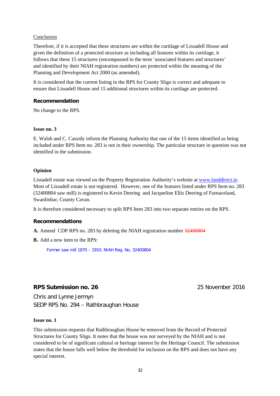#### Conclusion

Therefore, if it is accepted that these structures are within the curtilage of Lissadell House and given the definition of a protected structure as including all features within its curtilage, it follows that these 15 structures (encompassed in the term 'associated features and structures' and identified by their NIAH registration numbers) are protected within the meaning of the Planning and Development Act 2000 (as amended).

It is considered that the current listing in the RPS for County Sligo is correct and adequate to ensure that Lissadell House and 15 additional structures within its curtilage are protected.

#### **Recommendation**

No change to the RPS.

#### **Issue no. 3**

E. Walsh and C. Cassidy inform the Planning Authority that one of the 15 items identified as being included under RPS Item no. 283 is not in their ownership. The particular structure in question was not identified in the submission.

#### **Opinion**

Lissadell estate was viewed on the Property Registration Authority's website at [www.landdirect.ie.](http://www.landdirect.ie/) Most of Lissadell estate is not registered. However, one of the features listed under RPS Item no. 283 (32400804 saw mill) is registered to Kevin Deering and Jacqueline Ellis Deering of Furnaceland, Swanlinbar, County Cavan.

It is therefore considered necessary to split RPS Item 283 into two separate entries on the RPS.

#### **Recommendations**

**A.** Amend CDP RPS no. 283 by deleting the NIAH registration number 32400804

**B.** Add a new item to the RPS:

Former saw mill 1870 – 1910, NIAH Reg. No. 32400804

### **RPS Submission no. 26** 25 November 2016

Chris and Lynne Jermyn SEDP RPS No. 294 – Rathbraughan House

#### **Issue no. 1**

This submission requests that Rathbraughan House be removed from the Record of Protected Structures for County Sligo. It notes that the house was not surveyed by the NIAH and is not considered to be of significant cultural or heritage interest by the Heritage Council. The submission states that the house falls well below the threshold for inclusion on the RPS and does not have any special interest.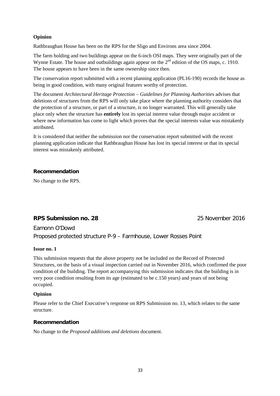#### **Opinion**

Rathbraughan House has been on the RPS for the Sligo and Environs area since 2004.

The farm holding and two buildings appear on the 6-inch OSI maps. They were originally part of the Wynne Estate. The house and outbuildings again appear on the  $2<sup>nd</sup>$  edition of the OS maps, c. 1910. The house appears to have been in the same ownership since then.

The conservation report submitted with a recent planning application (PL16-190) records the house as being in good condition, with many original features worthy of protection.

The document *Architectural Heritage Protection – Guidelines for Planning Authorities* advises that deletions of structures from the RPS will only take place where the planning authority considers that the protection of a structure, or part of a structure, is no longer warranted. This will generally take place only when the structure has **entirely** lost its special interest value through major accident or where new information has come to light which proves that the special interests value was mistakenly attributed.

It is considered that neither the submission nor the conservation report submitted with the recent planning application indicate that Rathbraughan House has lost its special interest or that its special interest was mistakenly attributed.

#### **Recommendation**

No change to the RPS.

### **RPS Submission no. 28** 25 November 2016

Eamonn O'Dowd Proposed protected structure P-9 – Farmhouse, Lower Rosses Point

#### **Issue no. 1**

This submission requests that the above property not be included on the Record of Protected Structures, on the basis of a visual inspection carried out in November 2016, which confirmed the poor condition of the building. The report accompanying this submission indicates that the building is in very poor condition resulting from its age (estimated to be c.150 years) and years of not being occupied.

#### **Opinion**

Please refer to the Chief Executive's response on RPS Submission no. 13, which relates to the same structure.

#### **Recommendation**

No change to the *Proposed additions and deletions* document.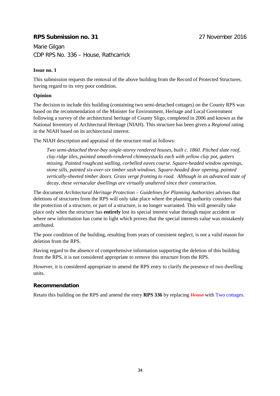### **RPS Submission no. 31** 27 November 2016

Marie Gilgan CDP RPS No. 336 – House, Rathcarrick

### **Issue no. 1**

This submission requests the removal of the above building from the Record of Protected Structures, having regard to its very poor condition.

### **Opinion**

The decision to include this building (containing two semi-detached cottages) on the County RPS was based on the recommendation of the Minister for Environment, Heritage and Local Government following a survey of the architectural heritage of County Sligo, completed in 2006 and known as the National Inventory of Architectural Heritage (NIAH). This structure has been given a *Regional* rating in the NIAH based on its architectural interest.

The NIAH description and appraisal of the structure read as follows:

*Two semi-detached three-bay single-storey rendered houses, built c. 1860. Pitched slate roof, clay ridge tiles, painted smooth-rendered chimneystacks each with yellow clay pot, gutters missing. Painted roughcast walling, corbelled eaves course. Square-headed window openings, stone sills, painted six-over-six timber sash windows. Square-headed door opening, painted vertically-sheeted timber doors. Grass verge fronting to road. Although in an advanced state of decay, these vernacular dwellings are virtually unaltered since their construction.* 

The document *Architectural Heritage Protection – Guidelines for Planning Authorities* advises that deletions of structures from the RPS will only take place where the planning authority considers that the protection of a structure, or part of a structure, is no longer warranted. This will generally take place only when the structure has **entirely** lost its special interest value through major accident or where new information has come to light which proves that the special interests value was mistakenly attributed.

The poor condition of the building, resulting from years of consistent neglect, is not a valid reason for deletion from the RPS.

Having regard to the absence of comprehensive information supporting the deletion of this building from the RPS, it is not considered appropriate to remove this structure from the RPS.

However, it is considered appropriate to amend the RPS entry to clarify the presence of two dwelling units.

### **Recommendation**

Retain this building on the RPS and amend the entry **RPS 336** by replacing House with Two cottages.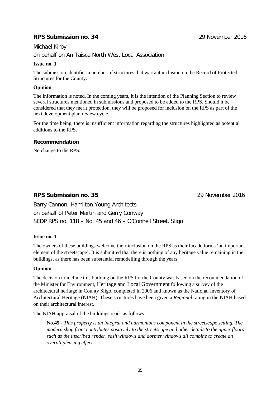### **RPS Submission no. 34** 29 November 2016

### Michael Kirby on behalf on An Taisce North West Local Association

#### **Issue no. 1**

The submission identifies a number of structures that warrant inclusion on the Record of Protected Structures for the County.

### **Opinion**

The information is noted. In the coming years, it is the intention of the Planning Section to review several structures mentioned in submissions and proposed to be added to the RPS. Should it be considered that they merit protection, they will be proposed for inclusion on the RPS as part of the next development plan review cycle.

For the time being, there is insufficient information regarding the structures highlighted as potential additions to the RPS.

### **Recommendation**

No change to the RPS.

### **RPS Submission no. 35** 29 November 2016

Barry Cannon, Hamilton Young Architects on behalf of Peter Martin and Gerry Conway SEDP RPS no. 118 – No. 45 and 46 – O'Connell Street, Sligo

#### **Issue no. 1**

The owners of these buildings welcome their inclusion on the RPS as their façade forms 'an important element of the streetscape'. It is submitted that there is nothing of any heritage value remaining in the buildings, as there has been substantial remodelling through the years.

### **Opinion**

The decision to include this building on the RPS for the County was based on the recommendation of the Minister for Environment, Heritage and Local Government following a survey of the architectural heritage in County Sligo, completed in 2006 and known as the National Inventory of Architectural Heritage (NIAH). These structures have been given a *Regional* rating in the NIAH based on their architectural interest.

The NIAH appraisal of the buildings reads as follows:

**No.45 -** *This property is an integral and harmonious component in the streetscape setting. The modern shop front contributes positively to the streetscape and other details to the upper floors such as the inscribed render, sash windows and dormer windows all combine to create an overall pleasing effect.*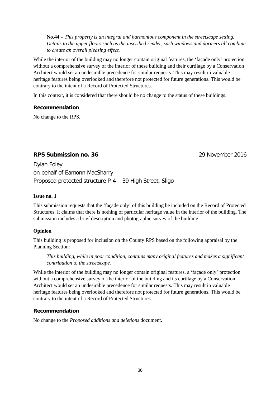**No.44 –** *This property is an integral and harmonious component in the streetscape setting. Details to the upper floors such as the inscribed render, sash windows and dormers all combine to create an overall pleasing effect.*

While the interior of the building may no longer contain original features, the 'façade only' protection without a comprehensive survey of the interior of these building and their curtilage by a Conservation Architect would set an undesirable precedence for similar requests. This may result in valuable heritage features being overlooked and therefore not protected for future generations. This would be contrary to the intent of a Record of Protected Structures.

In this context, it is considered that there should be no change to the status of these buildings.

#### **Recommendation**

No change to the RPS.

### **RPS Submission no. 36** 29 November 2016

Dylan Foley on behalf of Eamonn MacSharry Proposed protected structure P-4 – 39 High Street, Sligo

#### **Issue no. 1**

This submission requests that the 'façade only' of this building be included on the Record of Protected Structures. It claims that there is nothing of particular heritage value in the interior of the building. The submission includes a brief description and photographic survey of the building.

#### **Opinion**

This building is proposed for inclusion on the County RPS based on the following appraisal by the Planning Section:

*This building, while in poor condition, contains many original features and makes a significant contribution to the streetscape.*

While the interior of the building may no longer contain original features, a 'façade only' protection without a comprehensive survey of the interior of the building and its curtilage by a Conservation Architect would set an undesirable precedence for similar requests. This may result in valuable heritage features being overlooked and therefore not protected for future generations. This would be contrary to the intent of a Record of Protected Structures.

#### **Recommendation**

No change to the *Proposed additions and deletions* document.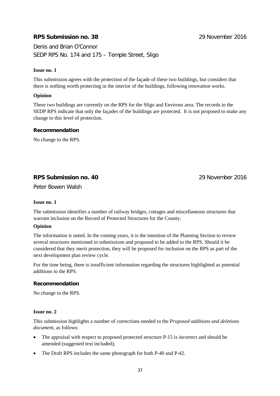### **RPS Submission no. 38** 29 November 2016

Denis and Brian O'Connor SEDP RPS No. 174 and 175 – Temple Street, Sligo

#### **Issue no. 1**

This submission agrees with the protection of the façade of these two buildings, but considers that there is nothing worth protecting in the interior of the buildings, following renovation works.

#### **Opinion**

These two buildings are currently on the RPS for the Sligo and Environs area. The records in the SEDP RPS indicate that only the façades of the buildings are protected. It is not proposed to make any change to this level of protection.

#### **Recommendation**

No change to the RPS.

### **RPS Submission no. 40** 29 November 2016

Peter Bowen Walsh

#### **Issue no. 1**

The submission identifies a number of railway bridges, cottages and miscellaneous structures that warrant inclusion on the Record of Protected Structures for the County.

#### **Opinion**

The information is noted. In the coming years, it is the intention of the Planning Section to review several structures mentioned in submissions and proposed to be added to the RPS. Should it be considered that they merit protection, they will be proposed for inclusion on the RPS as part of the next development plan review cycle.

For the time being, there is insufficient information regarding the structures highlighted as potential additions to the RPS.

#### **Recommendation**

No change to the RPS.

#### **Issue no. 2**

This submission highlights a number of corrections needed to the *Proposed additions and deletions document*, as follows:

- The appraisal with respect to proposed protected structure P-15 is incorrect and should be amended (suggested text included);
- The Draft RPS includes the same photograph for both P-40 and P-42.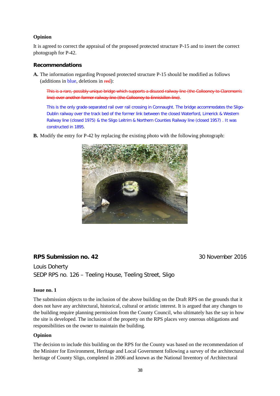### **Opinion**

It is agreed to correct the appraisal of the proposed protected structure P-15 and to insert the correct photograph for P-42.

#### **Recommendations**

**A.** The information regarding Proposed protected structure P-15 should be modified as follows (additions in blue, deletions in red):

This is a rare, possibly unique bridge which supports a disused railway line (the Collooney to Claremorris line) over another former railway line (the Collooney to Enniskillen line).

This is the only grade-separated rail over rail crossing in Connaught. The bridge accommodates the Sligo-Dublin railway over the track bed of the former link between the closed Waterford, Limerick & Western Railway line (closed 1975) & the Sligo Leitrim & Northern Counties Railway line (closed 1957) . It was constructed in 1895.

**B.** Modify the entry for P-42 by replacing the existing photo with the following photograph:



### **RPS Submission no. 42 30 November 2016**

Louis Doherty SEDP RPS no. 126 – Teeling House, Teeling Street, Sligo

#### **Issue no. 1**

The submission objects to the inclusion of the above building on the Draft RPS on the grounds that it does not have any architectural, historical, cultural or artistic interest. It is argued that any changes to the building require planning permission from the County Council, who ultimately has the say in how the site is developed. The inclusion of the property on the RPS places very onerous obligations and responsibilities on the owner to maintain the building.

#### **Opinion**

The decision to include this building on the RPS for the County was based on the recommendation of the Minister for Environment, Heritage and Local Government following a survey of the architectural heritage of County Sligo, completed in 2006 and known as the National Inventory of Architectural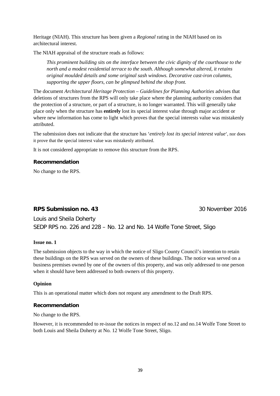Heritage (NIAH). This structure has been given a *Regional* rating in the NIAH based on its architectural interest.

The NIAH appraisal of the structure reads as follows:

*This prominent building sits on the interface between the civic dignity of the courthouse to the north and a modest residential terrace to the south. Although somewhat altered, it retains original moulded details and some original sash windows. Decorative cast-iron columns, supporting the upper floors, can be glimpsed behind the shop front.*

The document *Architectural Heritage Protection – Guidelines for Planning Authorities* advises that deletions of structures from the RPS will only take place where the planning authority considers that the protection of a structure, or part of a structure, is no longer warranted. This will generally take place only when the structure has **entirely** lost its special interest value through major accident or where new information has come to light which proves that the special interests value was mistakenly attributed.

The submission does not indicate that the structure has '*entirely lost its special interest value*', nor does it prove that the special interest value was mistakenly attributed.

It is not considered appropriate to remove this structure from the RPS.

#### **Recommendation**

No change to the RPS.

### **RPS Submission no. 43** 30 November 2016

Louis and Sheila Doherty SEDP RPS no. 226 and 228 – No. 12 and No. 14 Wolfe Tone Street, Sligo

#### **Issue no. 1**

The submission objects to the way in which the notice of Sligo County Council's intention to retain these buildings on the RPS was served on the owners of these buildings. The notice was served on a business premises owned by one of the owners of this property, and was only addressed to one person when it should have been addressed to both owners of this property.

#### **Opinion**

This is an operational matter which does not request any amendment to the Draft RPS.

#### **Recommendation**

No change to the RPS.

However, it is recommended to re-issue the notices in respect of no.12 and no.14 Wolfe Tone Street to both Louis and Sheila Doherty at No. 12 Wolfe Tone Street, Sligo.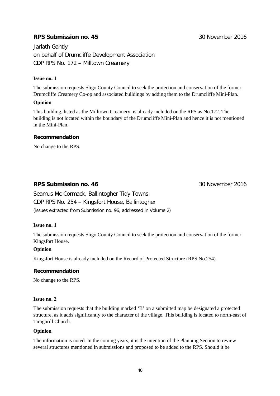### **RPS Submission no. 45** 30 November 2016

Jarlath Gantly on behalf of Drumcliffe Development Association CDP RPS No. 172 – Milltown Creamery

#### **Issue no. 1**

The submission requests Sligo County Council to seek the protection and conservation of the former Drumcliffe Creamery Co-op and associated buildings by adding them to the Drumcliffe Mini-Plan.

#### **Opinion**

This building, listed as the Milltown Creamery, is already included on the RPS as No.172. The building is not located within the boundary of the Drumcliffe Mini-Plan and hence it is not mentioned in the Mini-Plan.

#### **Recommendation**

No change to the RPS.

### **RPS Submission no. 46** 30 November 2016

Seamus Mc Cormack, Ballintogher Tidy Towns CDP RPS No. 254 – Kingsfort House, Ballintogher (issues extracted from Submission no. 96, addressed in Volume 2)

#### **Issue no. 1**

The submission requests Sligo County Council to seek the protection and conservation of the former Kingsfort House.

#### **Opinion**

Kingsfort House is already included on the Record of Protected Structure (RPS No.254).

#### **Recommendation**

No change to the RPS.

#### **Issue no. 2**

The submission requests that the building marked 'B' on a submitted map be designated a protected structure, as it adds significantly to the character of the village. This building is located to north-east of Tiraghrill Church.

#### **Opinion**

The information is noted. In the coming years, it is the intention of the Planning Section to review several structures mentioned in submissions and proposed to be added to the RPS. Should it be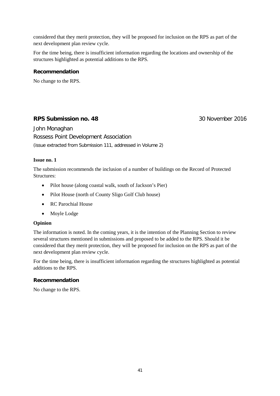considered that they merit protection, they will be proposed for inclusion on the RPS as part of the next development plan review cycle.

For the time being, there is insufficient information regarding the locations and ownership of the structures highlighted as potential additions to the RPS.

#### **Recommendation**

No change to the RPS.

### **RPS Submission no. 48** 30 November 2016

John Monaghan Rossess Point Development Association (issue extracted from Submission 111, addressed in Volume 2)

#### **Issue no. 1**

The submission recommends the inclusion of a number of buildings on the Record of Protected Structures:

- Pilot house (along coastal walk, south of Jackson's Pier)
- Pilot House (north of County Sligo Golf Club house)
- RC Parochial House
- Moyle Lodge

#### **Opinion**

The information is noted. In the coming years, it is the intention of the Planning Section to review several structures mentioned in submissions and proposed to be added to the RPS. Should it be considered that they merit protection, they will be proposed for inclusion on the RPS as part of the next development plan review cycle.

For the time being, there is insufficient information regarding the structures highlighted as potential additions to the RPS.

#### **Recommendation**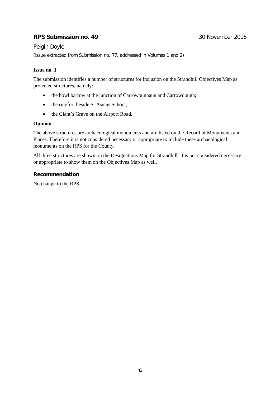### **RPS Submission no. 49 19 120 130 November 2016**

#### Peigin Doyle

(issue extracted from Submission no. 77, addressed in Volumes 1 and 2)

#### **Issue no. 1**

The submission identifies a number of structures for inclusion on the Strandhill Objectives Map as protected structures, namely:

- the bowl barrow at the junction of Carrowbunnaun and Carrowdough;
- the ringfort beside St Asicus School;
- the Giant's Grave on the Airport Road.

#### **Opinion**

The above structures are archaeological monuments and are listed on the Record of Monuments and Places. Therefore it is not considered necessary or appropriate to include these archaeological monuments on the RPS for the County.

All three structures are shown on the Designations Map for Strandhill. It is not considered necessary or appropriate to show them on the Objectives Map as well.

#### **Recommendation**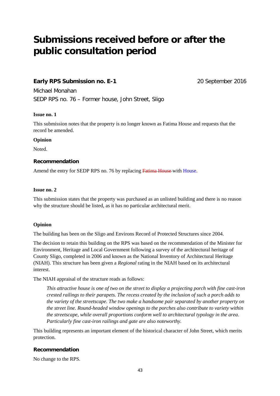## **Submissions received before or after the public consultation period**

### **Early RPS Submission no. E-1** 20 September 2016

Michael Monahan SEDP RPS no. 76 – Former house, John Street, Sligo

#### **Issue no. 1**

This submission notes that the property is no longer known as Fatima House and requests that the record be amended.

#### **Opinion**

Noted.

#### **Recommendation**

Amend the entry for SEDP RPS no. 76 by replacing Fatima House with House.

#### **Issue no. 2**

This submission states that the property was purchased as an unlisted building and there is no reason why the structure should be listed, as it has no particular architectural merit.

#### **Opinion**

The building has been on the Sligo and Environs Record of Protected Structures since 2004.

The decision to retain this building on the RPS was based on the recommendation of the Minister for Environment, Heritage and Local Government following a survey of the architectural heritage of County Sligo, completed in 2006 and known as the National Inventory of Architectural Heritage (NIAH). This structure has been given a *Regional* rating in the NIAH based on its architectural interest.

The NIAH appraisal of the structure reads as follows:

*This attractive house is one of two on the street to display a projecting porch with fine cast-iron crested railings to their parapets. The recess created by the inclusion of such a porch adds to the variety of the streetscape. The two make a handsome pair separated by another property on the street line. Round-headed window openings to the porches also contribute to variety within the streetscape, while overall proportions conform well to architectural typology in the area. Particularly fine cast-iron railings and gate are also noteworthy.* 

This building represents an important element of the historical character of John Street, which merits protection.

#### **Recommendation**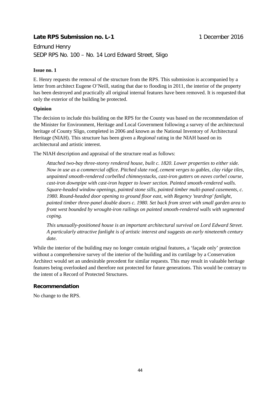### **Late RPS Submission no. L-1** 1 December 2016

Edmund Henry SEDP RPS No. 100 – No. 14 Lord Edward Street, Sligo

#### **Issue no. 1**

E. Henry requests the removal of the structure from the RPS. This submission is accompanied by a letter from architect Eugene O'Neill, stating that due to flooding in 2011, the interior of the property has been destroyed and practically all original internal features have been removed. It is requested that only the exterior of the building be protected.

### **Opinion**

The decision to include this building on the RPS for the County was based on the recommendation of the Minister for Environment, Heritage and Local Government following a survey of the architectural heritage of County Sligo, completed in 2006 and known as the National Inventory of Architectural Heritage (NIAH). This structure has been given a *Regional* rating in the NIAH based on its architectural and artistic interest.

The NIAH description and appraisal of the structure read as follows:

*Attached two-bay three-storey rendered house, built c. 1820. Lower properties to either side. Now in use as a commercial office. Pitched slate roof, cement verges to gables, clay ridge tiles, unpainted smooth-rendered corbelled chimneystacks, cast-iron gutters on eaves corbel course, cast-iron downpipe with cast-iron hopper to lower section. Painted smooth-rendered walls. Square-headed window openings, painted stone sills, painted timber multi-paned casements, c. 1980. Round-headed door opening to ground floor east, with Regency 'teardrop' fanlight, painted timber three-panel double doors c. 1980. Set back from street with small garden area to front west bounded by wrought-iron railings on painted smooth-rendered walls with segmented coping.*

*This unusually-positioned house is an important architectural survival on Lord Edward Street. A particularly attractive fanlight is of artistic interest and suggests an early nineteenth century date.*

While the interior of the building may no longer contain original features, a 'façade only' protection without a comprehensive survey of the interior of the building and its curtilage by a Conservation Architect would set an undesirable precedent for similar requests. This may result in valuable heritage features being overlooked and therefore not protected for future generations. This would be contrary to the intent of a Record of Protected Structures.

### **Recommendation**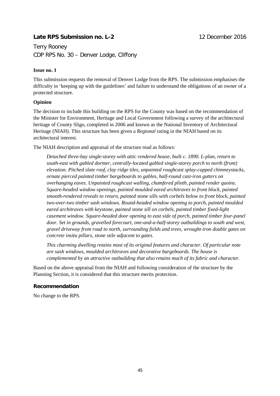### **Late RPS Submission no. L-2** 12 December 2016

Terry Rooney CDP RPS No. 30 – Denver Lodge, Cliffony

#### **Issue no. 1**

This submission requests the removal of Denver Lodge from the RPS. The submission emphasises the difficulty in 'keeping up with the guidelines' and failure to understand the obligations of an owner of a protected structure.

#### **Opinion**

The decision to include this building on the RPS for the County was based on the recommendation of the Minister for Environment, Heritage and Local Government following a survey of the architectural heritage of County Sligo, completed in 2006 and known as the National Inventory of Architectural Heritage (NIAH). This structure has been given a *Regional* rating in the NIAH based on its architectural interest.

The NIAH description and appraisal of the structure read as follows:

*Detached three-bay single-storey with attic rendered house, built c. 1890. L-plan, return to south-east with gabled dormer, centrally-located gabled single-storey porch to north (front) elevation. Pitched slate roof, clay ridge tiles, unpainted roughcast splay-capped chimneystacks, ornate pierced painted timber bargeboards to gables, half-round cast-iron gutters on overhanging eaves. Unpainted roughcast walling, chamfered plinth, painted render quoins. Square-headed window openings, painted moulded eared architraves to front block, painted smooth-rendered reveals to return, painted stone sills with corbels below to front block, painted two-over-two timber sash windows. Round-headed window opening to porch, painted moulded eared architraves with keystone, painted stone sill on corbels, painted timber fixed-light casement window. Square-headed door opening to east side of porch, painted timber four-panel door. Set in grounds, gravelled forecourt, one-and-a-half-storey outbuildings to south and west, gravel driveway from road to north, surrounding fields and trees, wrought-iron double gates on concrete insitu pillars, stone stile adjacent to gates.*

*This charming dwelling retains most of its original features and character. Of particular note are sash windows, moulded architraves and decorative bargeboards. The house is complemented by an attractive outbuilding that also retains much of its fabric and character.*

Based on the above appraisal from the NIAH and following consideration of the structure by the Planning Section, it is considered that this structure merits protection.

#### **Recommendation**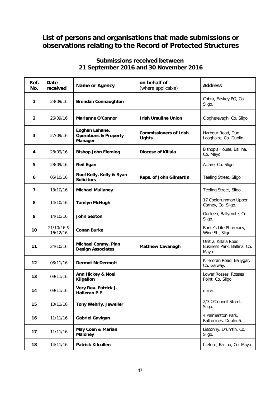### **List of persons and organisations that made submissions or observations relating to the Record of Protected Structures**

| Ref.<br>No.             | Date<br>received       | Name or Agency                                                | on behalf of<br>(where applicable)      | <b>Address</b>                                               |
|-------------------------|------------------------|---------------------------------------------------------------|-----------------------------------------|--------------------------------------------------------------|
| 1                       | 23/09/16               | <b>Brendan Connaughton</b>                                    |                                         | Cobra, Easkey PO, Co.<br>Sligo.                              |
| $\overline{\mathbf{c}}$ | 26/09/16               | <b>Marianne O'Connor</b>                                      | <b>Irish Ursuline Union</b>             | Clogherevagh, Co. Sligo.                                     |
| 3                       | 27/09/16               | Eoghan Lehane,<br><b>Operations &amp; Property</b><br>Manager | <b>Commissioners of Irish</b><br>Lights | Harbour Road, Dun<br>Laoghaire, Co. Dublin.                  |
| 4                       | 28/09/16               | <b>Bishop John Fleming</b>                                    | <b>Diocese of Killala</b>               | Bishop's House, Ballina,<br>Co. Mayo.                        |
| 5                       | 28/09/16               | <b>Neil Egan</b>                                              |                                         | Aclare, Co. Sligo.                                           |
| 6                       | 05/10/16               | Noel Kelly, Kelly & Ryan<br><b>Solicitors</b>                 | Reps. of John Gilmartin                 | Teeling Street, Sligo                                        |
| 7                       | 13/10/16               | <b>Michael Mullaney</b>                                       |                                         | Teeling Street, Sligo                                        |
| 8                       | 14/10/16               | <b>Tamlyn McHugh</b>                                          |                                         | 17 Cooldrumman Upper,<br>Carney, Co. Sligo.                  |
| 9                       | 14/10/16               | <b>John Sexton</b>                                            |                                         | Gurteen, Ballymote, Co.<br>Sligo.                            |
| 10                      | 21/10/16 &<br>16/12/16 | <b>Conan Burke</b>                                            |                                         | Burke's Life Pharmacy,<br>Wine St., Sligo                    |
| 11                      | 24/10/16               | Michael Conmy, Plan<br><b>Design Associates</b>               | <b>Matthew Cavanagh</b>                 | Unit 2, Killala Road<br>Business Park, Ballina, Co.<br>Mayo. |
| 12                      | 03/11/16               | <b>Dermot McDermott</b>                                       |                                         | Killeroran Road, Ballygar,<br>Co. Galway.                    |
| 13                      | 09/11/16               | Ann Hickey & Noel<br>Kilgallon                                |                                         | Lower Rosses, Rosses<br>Point, Co. Sligo.                    |
| 14                      | 09/11/16               | Very Rev. Patrick J.<br>Holleran P.P.                         |                                         | e-mail                                                       |
| 15                      | 10/11/16               | Tony Wehrly, Jeweller                                         |                                         | 2/3 O'Connell Street,<br>Sligo.                              |
| 16                      | 11/11/16               | <b>Gabriel Gavigan</b>                                        |                                         | 4 Palmerston Park,<br>Rathmines, Dublin 6.                   |
| 17                      | 11/11/16               | May Coen & Marian<br><b>Maloney</b>                           |                                         | Lisconny, Drumfin, Co.<br>Sligo.                             |
| 18                      | 14/11/16               | <b>Patrick Kilcullen</b>                                      |                                         | Iceford, Ballina, Co. Mayo.                                  |

### **Submissions received between 21 September 2016 and 30 November 2016**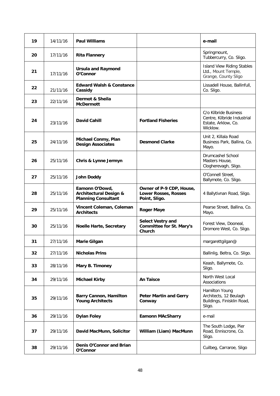| 19 | 14/11/16 | <b>Paul Williams</b>                                                              |                                                                          | e-mail                                                                                  |
|----|----------|-----------------------------------------------------------------------------------|--------------------------------------------------------------------------|-----------------------------------------------------------------------------------------|
| 20 | 17/11/16 | <b>Rita Flannery</b>                                                              |                                                                          | Springmount,<br>Tubbercurry, Co. Sligo.                                                 |
| 21 | 17/11/16 | <b>Ursula and Raymond</b><br>O'Connor                                             |                                                                          | <b>Island View Riding Stables</b><br>Ltd., Mount Temple,<br>Grange, County Sligo        |
| 22 | 21/11/16 | <b>Edward Walsh &amp; Constance</b><br>Cassidy                                    |                                                                          | Lissadell House, Ballinfull,<br>Co. Sligo.                                              |
| 23 | 22/11/16 | Dermot & Sheila<br><b>McDermott</b>                                               |                                                                          |                                                                                         |
| 24 | 23/11/16 | <b>David Cahill</b>                                                               | <b>Fortland Fisheries</b>                                                | C/o Kilbride Business<br>Centre, Kilbride Industrial<br>Estate, Arklow, Co.<br>Wicklow. |
| 25 | 24/11/16 | Michael Conmy, Plan<br><b>Design Associates</b>                                   | <b>Desmond Clarke</b>                                                    | Unit 2, Killala Road<br>Business Park, Ballina, Co.<br>Mayo.                            |
| 26 | 25/11/16 | Chris & Lynne Jermyn                                                              |                                                                          | Drumcashel School<br>Masters House,<br>Clogherevagh, Sligo.                             |
| 27 | 25/11/16 | <b>John Doddy</b>                                                                 |                                                                          | O'Connell Street,<br>Ballymote, Co. Sligo.                                              |
| 28 | 25/11/16 | Eamonn O'Dowd,<br><b>Architectural Design &amp;</b><br><b>Planning Consultant</b> | Owner of P-9 CDP, House,<br><b>Lower Rosses, Rosses</b><br>Point, Sligo. | 4 Ballytivnan Road, Sligo.                                                              |
| 29 | 25/11/16 | Vincent Coleman, Coleman<br><b>Architects</b>                                     | <b>Roger Maye</b>                                                        | Pearse Street, Ballina, Co.<br>Mayo.                                                    |
| 30 | 25/11/16 | <b>Noelle Harte, Secretary</b>                                                    | Select Vestry and<br><b>Committee for St. Mary's</b><br>Church           | Forest View, Dooneal,<br>Dromore West, Co. Sligo.                                       |
| 31 | 27/11/16 | <b>Marie Gilgan</b>                                                               |                                                                          | margarettgilgan@                                                                        |
| 32 | 27/11/16 | <b>Nicholas Prins</b>                                                             |                                                                          | Ballinlig, Beltra, Co. Sligo.                                                           |
| 33 | 28/11/16 | Mary B. Timoney                                                                   |                                                                          | Keash, Ballymote, Co.<br>Sligo.                                                         |
| 34 | 29/11/16 | <b>Michael Kirby</b>                                                              | <b>An Taisce</b>                                                         | North West Local<br>Associations                                                        |
| 35 | 29/11/16 | <b>Barry Cannon, Hamilton</b><br><b>Young Architects</b>                          | <b>Peter Martin and Gerry</b><br>Conway                                  | Hamilton Young<br>Architects, 12 Beulagh<br>Buildings, Finisklin Road,<br>Sligo.        |
| 36 | 29/11/16 | <b>Dylan Foley</b>                                                                | <b>Eamonn MAcSharry</b>                                                  | e-mail                                                                                  |
| 37 | 29/11/16 | David MacMunn, Solicitor                                                          | William (Liam) MacMunn                                                   | The South Lodge, Pier<br>Road, Enniscrone, Co.<br>Sligo.                                |
| 38 | 29/11/16 | Denis O'Connor and Brian<br>O'Connor                                              |                                                                          | Cuilbeg, Carraroe, Sligo                                                                |